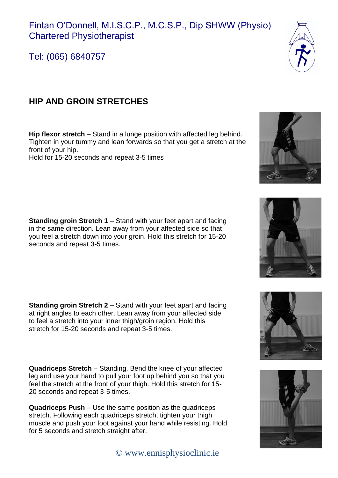

Tel: (065) 6840757

## **HIP AND GROIN STRETCHES**

**Hip flexor stretch** – Stand in a lunge position with affected leg behind. Tighten in your tummy and lean forwards so that you get a stretch at the front of your hip. Hold for 15-20 seconds and repeat 3-5 times

**Standing groin Stretch 1** – Stand with your feet apart and facing in the same direction. Lean away from your affected side so that you feel a stretch down into your groin. Hold this stretch for 15-20 seconds and repeat 3-5 times.

**Standing groin Stretch 2 –** Stand with your feet apart and facing at right angles to each other. Lean away from your affected side to feel a stretch into your inner thigh/groin region. Hold this stretch for 15-20 seconds and repeat 3-5 times.

**Quadriceps Stretch** – Standing. Bend the knee of your affected leg and use your hand to pull your foot up behind you so that you feel the stretch at the front of your thigh. Hold this stretch for 15- 20 seconds and repeat 3-5 times.

**Quadriceps Push** – Use the same position as the quadriceps stretch. Following each quadriceps stretch, tighten your thigh muscle and push your foot against your hand while resisting. Hold for 5 seconds and stretch straight after.

© [www.ennisphysioclinic.ie](http://www.ennisphysioclinic.ie/)









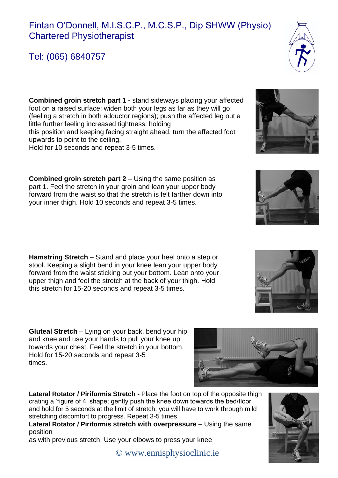## Fintan O'Donnell, M.I.S.C.P., M.C.S.P., Dip SHWW (Physio) Chartered Physiotherapist

Tel: (065) 6840757

**Combined groin stretch part 1 -** stand sideways placing your affected foot on a raised surface; widen both your legs as far as they will go (feeling a stretch in both adductor regions); push the affected leg out a little further feeling increased tightness; holding this position and keeping facing straight ahead, turn the affected foot upwards to point to the ceiling.

Hold for 10 seconds and repeat 3-5 times.

**Combined groin stretch part 2** – Using the same position as part 1. Feel the stretch in your groin and lean your upper body forward from the waist so that the stretch is felt farther down into your inner thigh. Hold 10 seconds and repeat 3-5 times.

**Hamstring Stretch** – Stand and place your heel onto a step or stool. Keeping a slight bend in your knee lean your upper body forward from the waist sticking out your bottom. Lean onto your upper thigh and feel the stretch at the back of your thigh. Hold this stretch for 15-20 seconds and repeat 3-5 times.

**Gluteal Stretch** – Lying on your back, bend your hip and knee and use your hands to pull your knee up towards your chest. Feel the stretch in your bottom. Hold for 15-20 seconds and repeat 3-5 times.

**Lateral Rotator / Piriformis Stretch -** Place the foot on top of the opposite thigh crating a 'figure of 4' shape; gently push the knee down towards the bed/floor and hold for 5 seconds at the limit of stretch; you will have to work through mild stretching discomfort to progress. Repeat 3-5 times.

Lateral Rotator / Piriformis stretch with overpressure - Using the same position

as with previous stretch. Use your elbows to press your knee

© [www.ennisphysioclinic.ie](http://www.ennisphysioclinic.ie/)